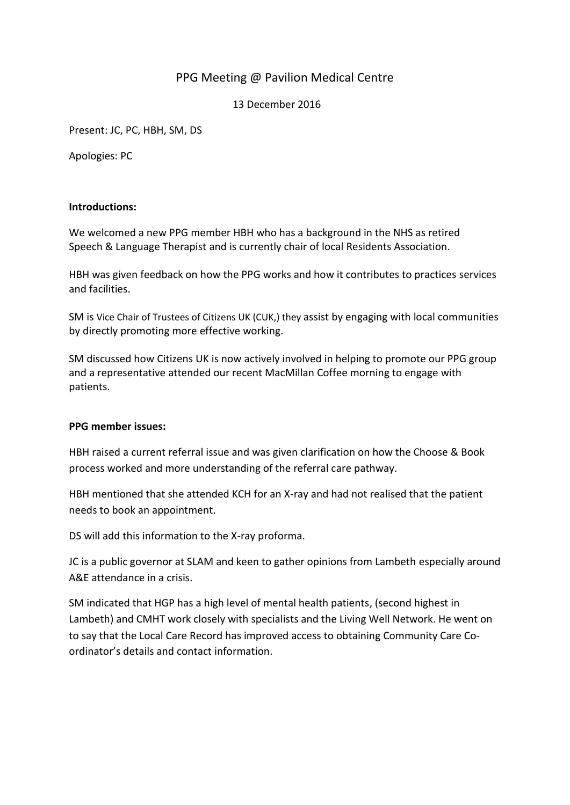# PPG Meeting @ Pavilion Medical Centre

13 December 2016

Present: JC, PC, HBH, SM, DS

Apologies: PC

### **Introductions:**

We welcomed a new PPG member HBH who has a background in the NHS as retired Speech & Language Therapist and is currently chair of local Residents Association.

HBH was given feedback on how the PPG works and how it contributes to practices services and facilities.

SM is Vice Chair of Trustees of Citizens UK (CUK,) they assist by engaging with local communities by directly promoting more effective working.

SM discussed how Citizens UK is now actively involved in helping to promote our PPG group and a representative attended our recent MacMillan Coffee morning to engage with patients.

#### **PPG member issues:**

HBH raised a current referral issue and was given clarification on how the Choose & Book process worked and more understanding of the referral care pathway.

HBH mentioned that she attended KCH for an X-ray and had not realised that the patient needs to book an appointment.

DS will add this information to the X-ray proforma.

JC is a public governor at SLAM and keen to gather opinions from Lambeth especially around A&E attendance in a crisis.

SM indicated that HGP has a high level of mental health patients, (second highest in Lambeth) and CMHT work closely with specialists and the Living Well Network. He went on to say that the Local Care Record has improved access to obtaining Community Care Coordinator's details and contact information.